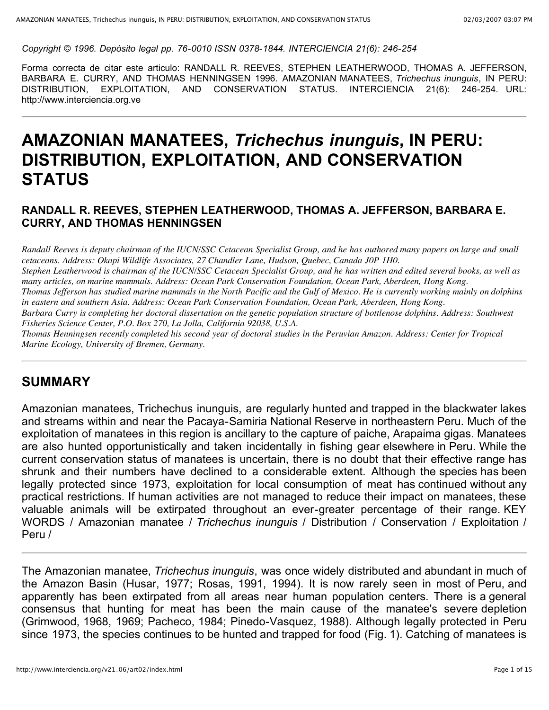*Copyright © 1996. Depósito legal pp. 76-0010 ISSN 0378-1844. INTERCIENCIA 21(6): 246-254*

Forma correcta de citar este articulo: RANDALL R. REEVES, STEPHEN LEATHERWOOD, THOMAS A. JEFFERSON, BARBARA E. CURRY, AND THOMAS HENNINGSEN 1996. AMAZONIAN MANATEES, *Trichechus inunguis*, IN PERU: DISTRIBUTION, EXPLOITATION, AND CONSERVATION STATUS. INTERCIENCIA 21(6): 246-254. URL: http://www.interciencia.org.ve

# **AMAZONIAN MANATEES,** *Trichechus inunguis***, IN PERU: DISTRIBUTION, EXPLOITATION, AND CONSERVATION STATUS**

#### **RANDALL R. REEVES, STEPHEN LEATHERWOOD, THOMAS A. JEFFERSON, BARBARA E. CURRY, AND THOMAS HENNINGSEN**

Randall Reeves is deputy chairman of the IUCN/SSC Cetacean Specialist Group, and he has authored many papers on large and small *cetaceans. Address: Okapi Wildlife Associates, 27 Chandler Lane, Hudson, Quebec, Canada J0P 1H0.*

Stephen Leatherwood is chairman of the IUCN/SSC Cetacean Specialist Group, and he has written and edited several books, as well as *many articles, on marine mammals. Address: Ocean Park Conservation Foundation, Ocean Park, Aberdeen, Hong Kong.*

Thomas Jefferson has studied marine mammals in the North Pacific and the Gulf of Mexico. He is currently working mainly on dolphins *in eastern and southern Asia. Address: Ocean Park Conservation Foundation, Ocean Park, Aberdeen, Hong Kong.*

Barbara Curry is completing her doctoral dissertation on the genetic population structure of bottlenose dolphins. Address: Southwest *Fisheries Science Center, P.O. Box 270, La Jolla, California 92038, U.S.A.*

Thomas Henningsen recently completed his second year of doctoral studies in the Peruvian Amazon. Address: Center for Tropical *Marine Ecology, University of Bremen, Germany.*

### **SUMMARY**

Amazonian manatees, Trichechus inunguis, are regularly hunted and trapped in the blackwater lakes and streams within and near the Pacaya-Samiria National Reserve in northeastern Peru. Much of the exploitation of manatees in this region is ancillary to the capture of paiche, Arapaima gigas. Manatees are also hunted opportunistically and taken incidentally in fishing gear elsewhere in Peru. While the current conservation status of manatees is uncertain, there is no doubt that their effective range has shrunk and their numbers have declined to a considerable extent. Although the species has been legally protected since 1973, exploitation for local consumption of meat has continued without any practical restrictions. If human activities are not managed to reduce their impact on manatees, these valuable animals will be extirpated throughout an ever-greater percentage of their range. KEY WORDS / Amazonian manatee / *Trichechus inunguis* / Distribution / Conservation / Exploitation / Peru /

The Amazonian manatee, *Trichechus inunguis*, was once widely distributed and abundant in much of the Amazon Basin (Husar, 1977; Rosas, 1991, 1994). It is now rarely seen in most of Peru, and apparently has been extirpated from all areas near human population centers. There is a general consensus that hunting for meat has been the main cause of the manatee's severe depletion (Grimwood, 1968, 1969; Pacheco, 1984; Pinedo-Vasquez, 1988). Although legally protected in Peru since 1973, the species continues to be hunted and trapped for food (Fig. 1). Catching of manatees is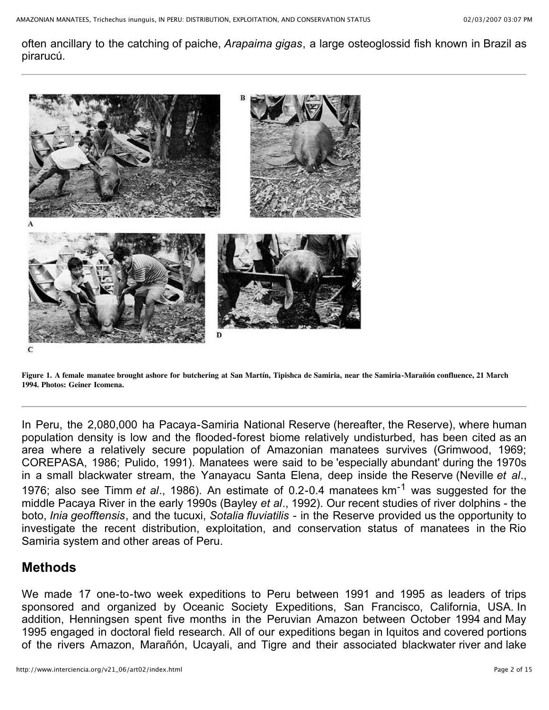often ancillary to the catching of paiche, *Arapaima gigas*, a large osteoglossid fish known in Brazil as pirarucú.



Figure 1. A female manatee brought ashore for butchering at San Martín, Tipishca de Samiria, near the Samiria-Marañón confluence, 21 March **1994. Photos: Geiner Icomena.**

In Peru, the 2,080,000 ha Pacaya-Samiria National Reserve (hereafter, the Reserve), where human population density is low and the flooded-forest biome relatively undisturbed, has been cited as an area where a relatively secure population of Amazonian manatees survives (Grimwood, 1969; COREPASA, 1986; Pulido, 1991). Manatees were said to be 'especially abundant' during the 1970s in a small blackwater stream, the Yanayacu Santa Elena, deep inside the Reserve (Neville *et al*., 1976; also see Timm *et al*., 1986). An estimate of 0.2-0.4 manatees km-1 was suggested for the middle Pacaya River in the early 1990s (Bayley *et al*., 1992). Our recent studies of river dolphins - the boto, *Inia geofftensis*, and the tucuxi, *Sotalia fluviatilis* - in the Reserve provided us the opportunity to investigate the recent distribution, exploitation, and conservation status of manatees in the Rio Samiria system and other areas of Peru.

### **Methods**

We made 17 one-to-two week expeditions to Peru between 1991 and 1995 as leaders of trips sponsored and organized by Oceanic Society Expeditions, San Francisco, California, USA. In addition, Henningsen spent five months in the Peruvian Amazon between October 1994 and May 1995 engaged in doctoral field research. All of our expeditions began in Iquitos and covered portions of the rivers Amazon, Marañón, Ucayali, and Tigre and their associated blackwater river and lake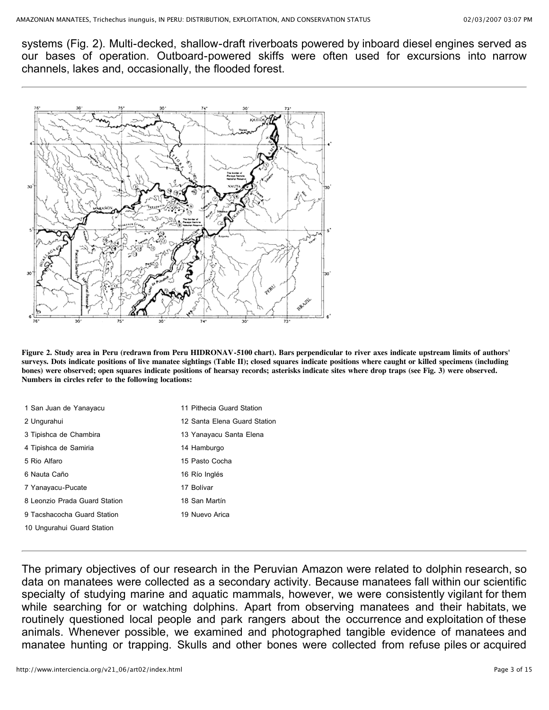systems (Fig. 2). Multi-decked, shallow-draft riverboats powered by inboard diesel engines served as our bases of operation. Outboard-powered skiffs were often used for excursions into narrow channels, lakes and, occasionally, the flooded forest.



Figure 2. Study area in Peru (redrawn from Peru HIDRONAV-5100 chart). Bars perpendicular to river axes indicate upstream limits of authors' surveys. Dots indicate positions of live manatee sightings (Table II); closed squares indicate positions where caught or killed specimens (including bones) were observed; open squares indicate positions of hearsay records; asterisks indicate sites where drop traps (see Fig. 3) were observed. **Numbers in circles refer to the following locations:**

| 1 San Juan de Yanayacu        | 11 Pithecia Guard Station    |
|-------------------------------|------------------------------|
| 2 Ungurahui                   | 12 Santa Elena Guard Station |
| 3 Tipishca de Chambira        | 13 Yanayacu Santa Elena      |
| 4 Tipishca de Samiria         | 14 Hamburgo                  |
| 5 Rio Alfaro                  | 15 Pasto Cocha               |
| 6 Nauta Caño                  | 16 Río Inglés                |
| 7 Yanayacu-Pucate             | 17 Bolívar                   |
| 8 Leonzio Prada Guard Station | 18 San Martín                |
| 9 Tacshacocha Guard Station   | 19 Nuevo Arica               |
| 10 Ungurahui Guard Station    |                              |
|                               |                              |

The primary objectives of our research in the Peruvian Amazon were related to dolphin research, so data on manatees were collected as a secondary activity. Because manatees fall within our scientific specialty of studying marine and aquatic mammals, however, we were consistently vigilant for them while searching for or watching dolphins. Apart from observing manatees and their habitats, we routinely questioned local people and park rangers about the occurrence and exploitation of these animals. Whenever possible, we examined and photographed tangible evidence of manatees and manatee hunting or trapping. Skulls and other bones were collected from refuse piles or acquired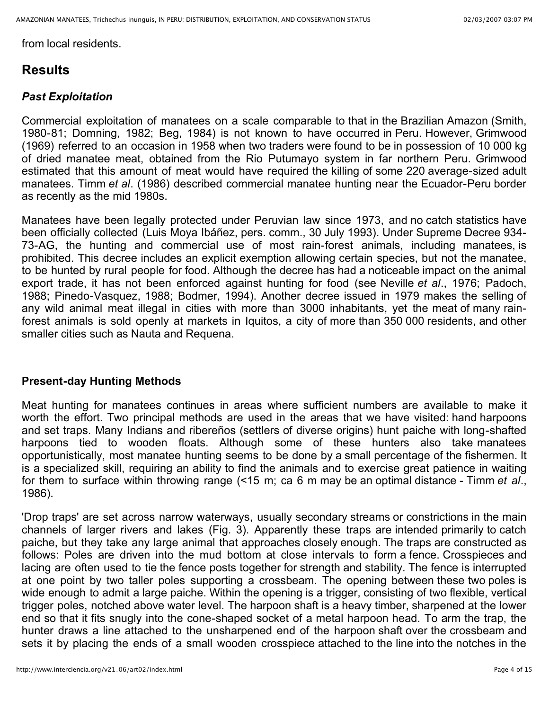from local residents.

### **Results**

### *Past Exploitation*

Commercial exploitation of manatees on a scale comparable to that in the Brazilian Amazon (Smith, 1980-81; Domning, 1982; Beg, 1984) is not known to have occurred in Peru. However, Grimwood (1969) referred to an occasion in 1958 when two traders were found to be in possession of 10 000 kg of dried manatee meat, obtained from the Rio Putumayo system in far northern Peru. Grimwood estimated that this amount of meat would have required the killing of some 220 average-sized adult manatees. Timm *et al*. (1986) described commercial manatee hunting near the Ecuador-Peru border as recently as the mid 1980s.

Manatees have been legally protected under Peruvian law since 1973, and no catch statistics have been officially collected (Luis Moya Ibáñez, pers. comm., 30 July 1993). Under Supreme Decree 934- 73-AG, the hunting and commercial use of most rain-forest animals, including manatees, is prohibited. This decree includes an explicit exemption allowing certain species, but not the manatee, to be hunted by rural people for food. Although the decree has had a noticeable impact on the animal export trade, it has not been enforced against hunting for food (see Neville *et al*., 1976; Padoch, 1988; Pinedo-Vasquez, 1988; Bodmer, 1994). Another decree issued in 1979 makes the selling of any wild animal meat illegal in cities with more than 3000 inhabitants, yet the meat of many rainforest animals is sold openly at markets in Iquitos, a city of more than 350 000 residents, and other smaller cities such as Nauta and Requena.

#### **Present-day Hunting Methods**

Meat hunting for manatees continues in areas where sufficient numbers are available to make it worth the effort. Two principal methods are used in the areas that we have visited: hand harpoons and set traps. Many Indians and ribereños (settlers of diverse origins) hunt paiche with long-shafted harpoons tied to wooden floats. Although some of these hunters also take manatees opportunistically, most manatee hunting seems to be done by a small percentage of the fishermen. It is a specialized skill, requiring an ability to find the animals and to exercise great patience in waiting for them to surface within throwing range (<15 m; ca 6 m may be an optimal distance - Timm *et al*., 1986).

'Drop traps' are set across narrow waterways, usually secondary streams or constrictions in the main channels of larger rivers and lakes (Fig. 3). Apparently these traps are intended primarily to catch paiche, but they take any large animal that approaches closely enough. The traps are constructed as follows: Poles are driven into the mud bottom at close intervals to form a fence. Crosspieces and lacing are often used to tie the fence posts together for strength and stability. The fence is interrupted at one point by two taller poles supporting a crossbeam. The opening between these two poles is wide enough to admit a large paiche. Within the opening is a trigger, consisting of two flexible, vertical trigger poles, notched above water level. The harpoon shaft is a heavy timber, sharpened at the lower end so that it fits snugly into the cone-shaped socket of a metal harpoon head. To arm the trap, the hunter draws a line attached to the unsharpened end of the harpoon shaft over the crossbeam and sets it by placing the ends of a small wooden crosspiece attached to the line into the notches in the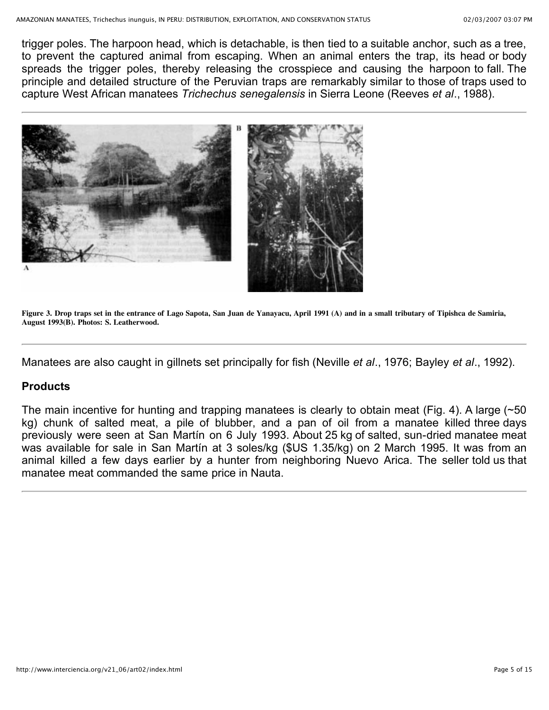trigger poles. The harpoon head, which is detachable, is then tied to a suitable anchor, such as a tree, to prevent the captured animal from escaping. When an animal enters the trap, its head or body spreads the trigger poles, thereby releasing the crosspiece and causing the harpoon to fall. The principle and detailed structure of the Peruvian traps are remarkably similar to those of traps used to capture West African manatees *Trichechus senegalensis* in Sierra Leone (Reeves *et al*., 1988).



Figure 3. Drop traps set in the entrance of Lago Sapota, San Juan de Yanayacu, April 1991 (A) and in a small tributary of Tipishca de Samiria, **August 1993(B). Photos: S. Leatherwood.**

Manatees are also caught in gillnets set principally for fish (Neville *et al*., 1976; Bayley *et al*., 1992).

#### **Products**

The main incentive for hunting and trapping manatees is clearly to obtain meat (Fig. 4). A large (~50 kg) chunk of salted meat, a pile of blubber, and a pan of oil from a manatee killed three days previously were seen at San Martín on 6 July 1993. About 25 kg of salted, sun-dried manatee meat was available for sale in San Martín at 3 soles/kg (\$US 1.35/kg) on 2 March 1995. It was from an animal killed a few days earlier by a hunter from neighboring Nuevo Arica. The seller told us that manatee meat commanded the same price in Nauta.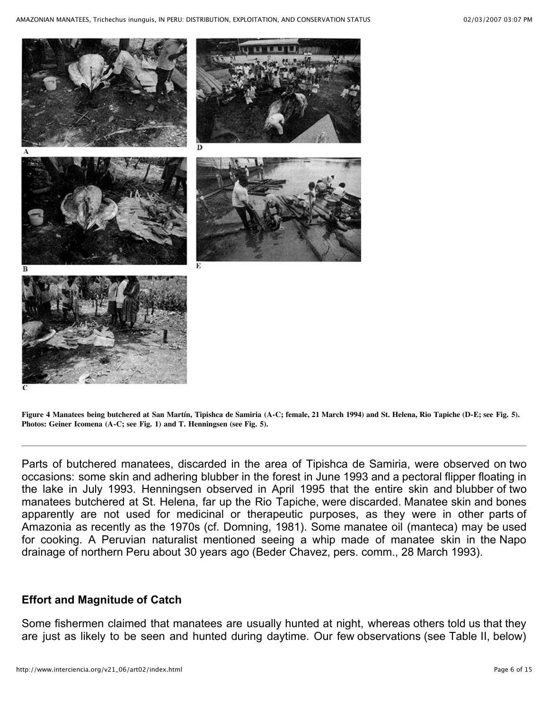

Figure 4 Manatees being butchered at San Martín, Tipishca de Samiria (A-C; female, 21 March 1994) and St. Helena, Rio Tapiche (D-E; see Fig. 5). **Photos: Geiner Icomena (A-C; see Fig. 1) and T. Henningsen (see Fig. 5).**

Parts of butchered manatees, discarded in the area of Tipishca de Samiria, were observed on two occasions: some skin and adhering blubber in the forest in June 1993 and a pectoral flipper floating in the lake in July 1993. Henningsen observed in April 1995 that the entire skin and blubber of two manatees butchered at St. Helena, far up the Rio Tapiche, were discarded. Manatee skin and bones apparently are not used for medicinal or therapeutic purposes, as they were in other parts of Amazonia as recently as the 1970s (cf. Domning, 1981). Some manatee oil (manteca) may be used for cooking. A Peruvian naturalist mentioned seeing a whip made of manatee skin in the Napo drainage of northern Peru about 30 years ago (Beder Chavez, pers. comm., 28 March 1993).

#### **Effort and Magnitude of Catch**

Some fishermen claimed that manatees are usually hunted at night, whereas others told us that they are just as likely to be seen and hunted during daytime. Our few observations (see Table II, below)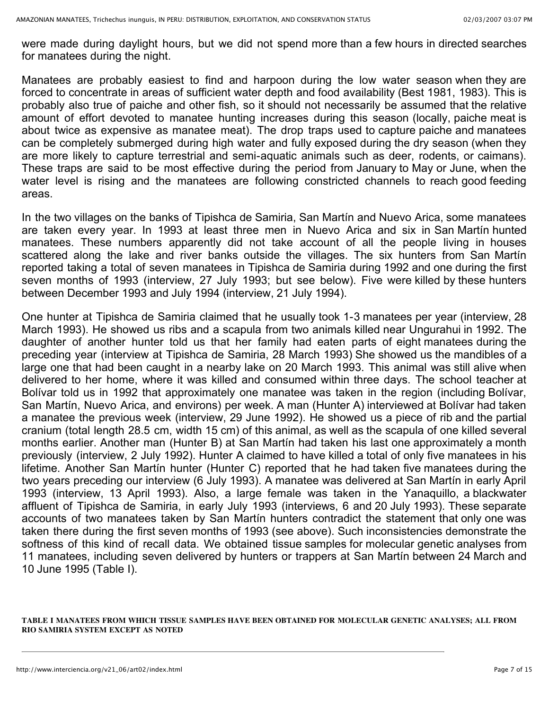were made during daylight hours, but we did not spend more than a few hours in directed searches for manatees during the night.

Manatees are probably easiest to find and harpoon during the low water season when they are forced to concentrate in areas of sufficient water depth and food availability (Best 1981, 1983). This is probably also true of paiche and other fish, so it should not necessarily be assumed that the relative amount of effort devoted to manatee hunting increases during this season (locally, paiche meat is about twice as expensive as manatee meat). The drop traps used to capture paiche and manatees can be completely submerged during high water and fully exposed during the dry season (when they are more likely to capture terrestrial and semi-aquatic animals such as deer, rodents, or caimans). These traps are said to be most effective during the period from January to May or June, when the water level is rising and the manatees are following constricted channels to reach good feeding areas.

In the two villages on the banks of Tipishca de Samiria, San Martín and Nuevo Arica, some manatees are taken every year. In 1993 at least three men in Nuevo Arica and six in San Martín hunted manatees. These numbers apparently did not take account of all the people living in houses scattered along the lake and river banks outside the villages. The six hunters from San Martín reported taking a total of seven manatees in Tipishca de Samiria during 1992 and one during the first seven months of 1993 (interview, 27 July 1993; but see below). Five were killed by these hunters between December 1993 and July 1994 (interview, 21 July 1994).

One hunter at Tipishca de Samiria claimed that he usually took 1-3 manatees per year (interview, 28 March 1993). He showed us ribs and a scapula from two animals killed near Ungurahui in 1992. The daughter of another hunter told us that her family had eaten parts of eight manatees during the preceding year (interview at Tipishca de Samiria, 28 March 1993) She showed us the mandibles of a large one that had been caught in a nearby lake on 20 March 1993. This animal was still alive when delivered to her home, where it was killed and consumed within three days. The school teacher at Bolívar told us in 1992 that approximately one manatee was taken in the region (including Bolívar, San Martín, Nuevo Arica, and environs) per week. A man (Hunter A) interviewed at Bolívar had taken a manatee the previous week (interview, 29 June 1992). He showed us a piece of rib and the partial cranium (total length 28.5 cm, width 15 cm) of this animal, as well as the scapula of one killed several months earlier. Another man (Hunter B) at San Martín had taken his last one approximately a month previously (interview, 2 July 1992). Hunter A claimed to have killed a total of only five manatees in his lifetime. Another San Martín hunter (Hunter C) reported that he had taken five manatees during the two years preceding our interview (6 July 1993). A manatee was delivered at San Martín in early April 1993 (interview, 13 April 1993). Also, a large female was taken in the Yanaquillo, a blackwater affluent of Tipishca de Samiria, in early July 1993 (interviews, 6 and 20 July 1993). These separate accounts of two manatees taken by San Martín hunters contradict the statement that only one was taken there during the first seven months of 1993 (see above). Such inconsistencies demonstrate the softness of this kind of recall data. We obtained tissue samples for molecular genetic analyses from 11 manatees, including seven delivered by hunters or trappers at San Martín between 24 March and 10 June 1995 (Table I).

#### **TABLE I MANATEES FROM WHICH TISSUE SAMPLES HAVE BEEN OBTAINED FOR MOLECULAR GENETIC ANALYSES; ALL FROM RIO SAMIRIA SYSTEM EXCEPT AS NOTED**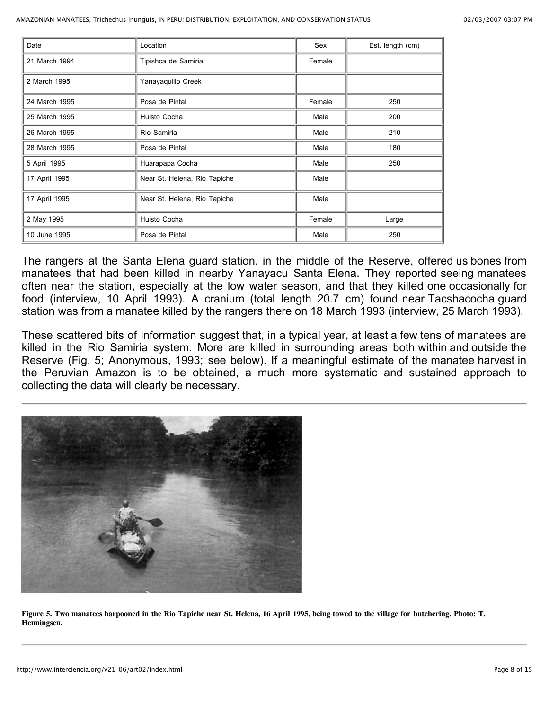| Date          | Location                     | Sex    | Est. length (cm) |
|---------------|------------------------------|--------|------------------|
| 21 March 1994 | Tipishca de Samiria          | Female |                  |
| 2 March 1995  | Yanayaquillo Creek           |        |                  |
| 24 March 1995 | Posa de Pintal               | Female | 250              |
| 25 March 1995 | Huisto Cocha                 | Male   | 200              |
| 26 March 1995 | Rio Samiria                  | Male   | 210              |
| 28 March 1995 | Posa de Pintal               | Male   | 180              |
| 5 April 1995  | Huarapapa Cocha              | Male   | 250              |
| 17 April 1995 | Near St. Helena, Rio Tapiche | Male   |                  |
| 17 April 1995 | Near St. Helena, Rio Tapiche | Male   |                  |
| 2 May 1995    | Huisto Cocha                 | Female | Large            |
| 10 June 1995  | Posa de Pintal               | Male   | 250              |

The rangers at the Santa Elena guard station, in the middle of the Reserve, offered us bones from manatees that had been killed in nearby Yanayacu Santa Elena. They reported seeing manatees often near the station, especially at the low water season, and that they killed one occasionally for food (interview, 10 April 1993). A cranium (total length 20.7 cm) found near Tacshacocha guard station was from a manatee killed by the rangers there on 18 March 1993 (interview, 25 March 1993).

These scattered bits of information suggest that, in a typical year, at least a few tens of manatees are killed in the Rio Samiria system. More are killed in surrounding areas both within and outside the Reserve (Fig. 5; Anonymous, 1993; see below). If a meaningful estimate of the manatee harvest in the Peruvian Amazon is to be obtained, a much more systematic and sustained approach to collecting the data will clearly be necessary.



Figure 5. Two manatees harpooned in the Rio Tapiche near St. Helena, 16 April 1995, being towed to the village for butchering. Photo: T. **Henningsen.**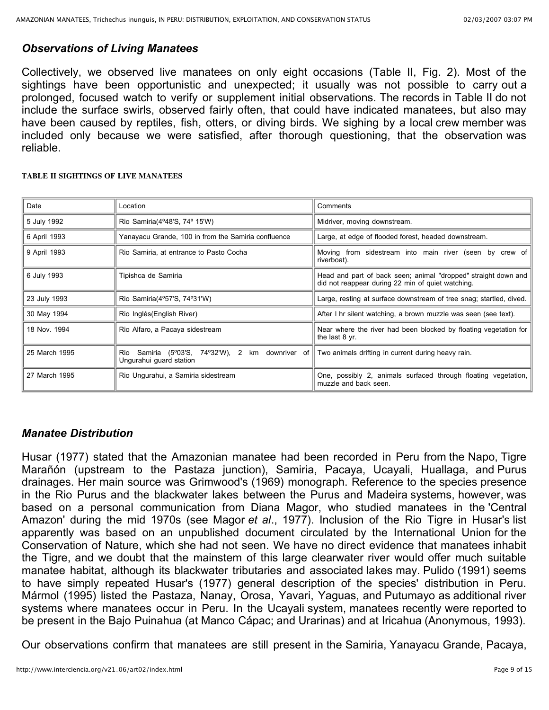### *Observations of Living Manatees*

Collectively, we observed live manatees on only eight occasions (Table II, Fig. 2). Most of the sightings have been opportunistic and unexpected; it usually was not possible to carry out a prolonged, focused watch to verify or supplement initial observations. The records in Table II do not include the surface swirls, observed fairly often, that could have indicated manatees, but also may have been caused by reptiles, fish, otters, or diving birds. We sighing by a local crew member was included only because we were satisfied, after thorough questioning, that the observation was reliable.

#### **TABLE II SIGHTINGS OF LIVE MANATEES**

| Date          | Location                                                                       | Comments                                                                                                            |
|---------------|--------------------------------------------------------------------------------|---------------------------------------------------------------------------------------------------------------------|
| 5 July 1992   | Rio Samiria(4°48'S, 74° 15'W)                                                  | Midriver, moving downstream.                                                                                        |
| 6 April 1993  | Yanayacu Grande, 100 in from the Samiria confluence                            | Large, at edge of flooded forest, headed downstream.                                                                |
| 9 April 1993  | Rio Samiria, at entrance to Pasto Cocha                                        | Moving from sidestream into main river (seen by crew of<br>riverboat).                                              |
| 6 July 1993   | Tipishca de Samiria                                                            | Head and part of back seen; animal "dropped" straight down and<br>did not reappear during 22 min of quiet watching. |
| 23 July 1993  | Rio Samiria(4°57'S, 74°31'W)                                                   | Large, resting at surface downstream of tree snag; startled, dived.                                                 |
| 30 May 1994   | Rio Inglés(English River)                                                      | After I hr silent watching, a brown muzzle was seen (see text).                                                     |
| 18 Nov. 1994  | Rio Alfaro, a Pacaya sidestream                                                | Near where the river had been blocked by floating vegetation for<br>the last 8 yr.                                  |
| 25 March 1995 | Samiria (5°03'S, 74°32'W), 2 km downriver of<br>Rio<br>Ungurahui guard station | Two animals drifting in current during heavy rain.                                                                  |
| 27 March 1995 | Rio Ungurahui, a Samiria sidestream                                            | One, possibly 2, animals surfaced through floating vegetation,<br>muzzle and back seen.                             |

#### *Manatee Distribution*

Husar (1977) stated that the Amazonian manatee had been recorded in Peru from the Napo, Tigre Marañón (upstream to the Pastaza junction), Samiria, Pacaya, Ucayali, Huallaga, and Purus drainages. Her main source was Grimwood's (1969) monograph. Reference to the species presence in the Rio Purus and the blackwater lakes between the Purus and Madeira systems, however, was based on a personal communication from Diana Magor, who studied manatees in the 'Central Amazon' during the mid 1970s (see Magor *et al*., 1977). Inclusion of the Rio Tigre in Husar's list apparently was based on an unpublished document circulated by the International Union for the Conservation of Nature, which she had not seen. We have no direct evidence that manatees inhabit the Tigre, and we doubt that the mainstem of this large clearwater river would offer much suitable manatee habitat, although its blackwater tributaries and associated lakes may. Pulido (1991) seems to have simply repeated Husar's (1977) general description of the species' distribution in Peru. Mármol (1995) listed the Pastaza, Nanay, Orosa, Yavari, Yaguas, and Putumayo as additional river systems where manatees occur in Peru. In the Ucayali system, manatees recently were reported to be present in the Bajo Puinahua (at Manco Cápac; and Urarinas) and at Iricahua (Anonymous, 1993).

Our observations confirm that manatees are still present in the Samiria, Yanayacu Grande, Pacaya,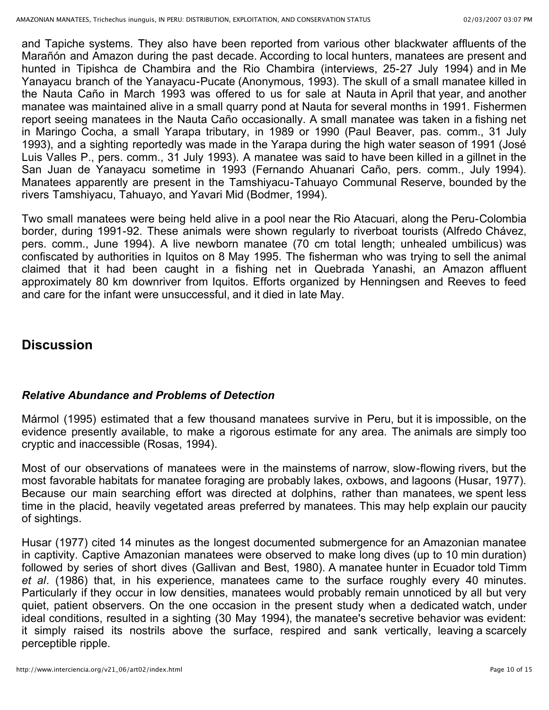and Tapiche systems. They also have been reported from various other blackwater affluents of the Marañón and Amazon during the past decade. According to local hunters, manatees are present and hunted in Tipishca de Chambira and the Rio Chambira (interviews, 25-27 July 1994) and in Me Yanayacu branch of the Yanayacu-Pucate (Anonymous, 1993). The skull of a small manatee killed in the Nauta Caño in March 1993 was offered to us for sale at Nauta in April that year, and another manatee was maintained alive in a small quarry pond at Nauta for several months in 1991. Fishermen report seeing manatees in the Nauta Caño occasionally. A small manatee was taken in a fishing net in Maringo Cocha, a small Yarapa tributary, in 1989 or 1990 (Paul Beaver, pas. comm., 31 July 1993), and a sighting reportedly was made in the Yarapa during the high water season of 1991 (José Luis Valles P., pers. comm., 31 July 1993). A manatee was said to have been killed in a gillnet in the San Juan de Yanayacu sometime in 1993 (Fernando Ahuanari Caño, pers. comm., July 1994). Manatees apparently are present in the Tamshiyacu-Tahuayo Communal Reserve, bounded by the rivers Tamshiyacu, Tahuayo, and Yavari Mid (Bodmer, 1994).

Two small manatees were being held alive in a pool near the Rio Atacuari, along the Peru-Colombia border, during 1991-92. These animals were shown regularly to riverboat tourists (Alfredo Chávez, pers. comm., June 1994). A live newborn manatee (70 cm total length; unhealed umbilicus) was confiscated by authorities in Iquitos on 8 May 1995. The fisherman who was trying to sell the animal claimed that it had been caught in a fishing net in Quebrada Yanashi, an Amazon affluent approximately 80 km downriver from Iquitos. Efforts organized by Henningsen and Reeves to feed and care for the infant were unsuccessful, and it died in late May.

### **Discussion**

#### *Relative Abundance and Problems of Detection*

Mármol (1995) estimated that a few thousand manatees survive in Peru, but it is impossible, on the evidence presently available, to make a rigorous estimate for any area. The animals are simply too cryptic and inaccessible (Rosas, 1994).

Most of our observations of manatees were in the mainstems of narrow, slow-flowing rivers, but the most favorable habitats for manatee foraging are probably lakes, oxbows, and lagoons (Husar, 1977). Because our main searching effort was directed at dolphins, rather than manatees, we spent less time in the placid, heavily vegetated areas preferred by manatees. This may help explain our paucity of sightings.

Husar (1977) cited 14 minutes as the longest documented submergence for an Amazonian manatee in captivity. Captive Amazonian manatees were observed to make long dives (up to 10 min duration) followed by series of short dives (Gallivan and Best, 1980). A manatee hunter in Ecuador told Timm *et al*. (1986) that, in his experience, manatees came to the surface roughly every 40 minutes. Particularly if they occur in low densities, manatees would probably remain unnoticed by all but very quiet, patient observers. On the one occasion in the present study when a dedicated watch, under ideal conditions, resulted in a sighting (30 May 1994), the manatee's secretive behavior was evident: it simply raised its nostrils above the surface, respired and sank vertically, leaving a scarcely perceptible ripple.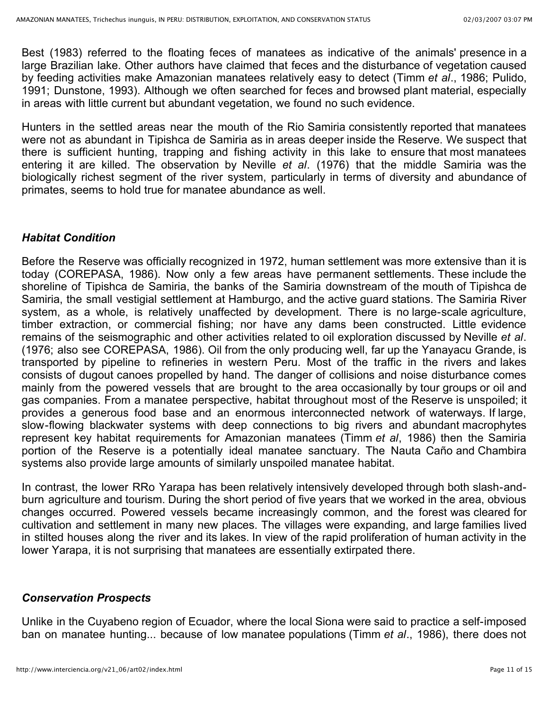Best (1983) referred to the floating feces of manatees as indicative of the animals' presence in a large Brazilian lake. Other authors have claimed that feces and the disturbance of vegetation caused by feeding activities make Amazonian manatees relatively easy to detect (Timm *et al*., 1986; Pulido, 1991; Dunstone, 1993). Although we often searched for feces and browsed plant material, especially in areas with little current but abundant vegetation, we found no such evidence.

Hunters in the settled areas near the mouth of the Rio Samiria consistently reported that manatees were not as abundant in Tipishca de Samiria as in areas deeper inside the Reserve. We suspect that there is sufficient hunting, trapping and fishing activity in this lake to ensure that most manatees entering it are killed. The observation by Neville *et al*. (1976) that the middle Samiria was the biologically richest segment of the river system, particularly in terms of diversity and abundance of primates, seems to hold true for manatee abundance as well.

#### *Habitat Condition*

Before the Reserve was officially recognized in 1972, human settlement was more extensive than it is today (COREPASA, 1986). Now only a few areas have permanent settlements. These include the shoreline of Tipishca de Samiria, the banks of the Samiria downstream of the mouth of Tipishca de Samiria, the small vestigial settlement at Hamburgo, and the active guard stations. The Samiria River system, as a whole, is relatively unaffected by development. There is no large-scale agriculture, timber extraction, or commercial fishing; nor have any dams been constructed. Little evidence remains of the seismographic and other activities related to oil exploration discussed by Neville *et al*. (1976; also see COREPASA, 1986). Oil from the only producing well, far up the Yanayacu Grande, is transported by pipeline to refineries in western Peru. Most of the traffic in the rivers and lakes consists of dugout canoes propelled by hand. The danger of collisions and noise disturbance comes mainly from the powered vessels that are brought to the area occasionally by tour groups or oil and gas companies. From a manatee perspective, habitat throughout most of the Reserve is unspoiled; it provides a generous food base and an enormous interconnected network of waterways. If large, slow-flowing blackwater systems with deep connections to big rivers and abundant macrophytes represent key habitat requirements for Amazonian manatees (Timm *et al*, 1986) then the Samiria portion of the Reserve is a potentially ideal manatee sanctuary. The Nauta Caño and Chambira systems also provide large amounts of similarly unspoiled manatee habitat.

In contrast, the lower RRo Yarapa has been relatively intensively developed through both slash-andburn agriculture and tourism. During the short period of five years that we worked in the area, obvious changes occurred. Powered vessels became increasingly common, and the forest was cleared for cultivation and settlement in many new places. The villages were expanding, and large families lived in stilted houses along the river and its lakes. In view of the rapid proliferation of human activity in the lower Yarapa, it is not surprising that manatees are essentially extirpated there.

### *Conservation Prospects*

Unlike in the Cuyabeno region of Ecuador, where the local Siona were said to practice a self-imposed ban on manatee hunting... because of low manatee populations (Timm *et al*., 1986), there does not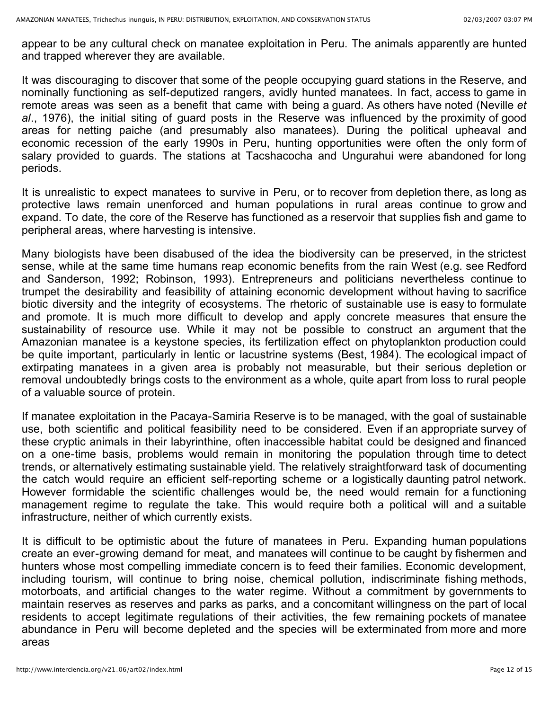appear to be any cultural check on manatee exploitation in Peru. The animals apparently are hunted and trapped wherever they are available.

It was discouraging to discover that some of the people occupying guard stations in the Reserve, and nominally functioning as self-deputized rangers, avidly hunted manatees. In fact, access to game in remote areas was seen as a benefit that came with being a guard. As others have noted (Neville *et* al., 1976), the initial siting of guard posts in the Reserve was influenced by the proximity of good areas for netting paiche (and presumably also manatees). During the political upheaval and economic recession of the early 1990s in Peru, hunting opportunities were often the only form of salary provided to guards. The stations at Tacshacocha and Ungurahui were abandoned for long periods.

It is unrealistic to expect manatees to survive in Peru, or to recover from depletion there, as long as protective laws remain unenforced and human populations in rural areas continue to grow and expand. To date, the core of the Reserve has functioned as a reservoir that supplies fish and game to peripheral areas, where harvesting is intensive.

Many biologists have been disabused of the idea the biodiversity can be preserved, in the strictest sense, while at the same time humans reap economic benefits from the rain West (e.g. see Redford and Sanderson, 1992; Robinson, 1993). Entrepreneurs and politicians nevertheless continue to trumpet the desirability and feasibility of attaining economic development without having to sacrifice biotic diversity and the integrity of ecosystems. The rhetoric of sustainable use is easy to formulate and promote. It is much more difficult to develop and apply concrete measures that ensure the sustainability of resource use. While it may not be possible to construct an argument that the Amazonian manatee is a keystone species, its fertilization effect on phytoplankton production could be quite important, particularly in lentic or lacustrine systems (Best, 1984). The ecological impact of extirpating manatees in a given area is probably not measurable, but their serious depletion or removal undoubtedly brings costs to the environment as a whole, quite apart from loss to rural people of a valuable source of protein.

If manatee exploitation in the Pacaya-Samiria Reserve is to be managed, with the goal of sustainable use, both scientific and political feasibility need to be considered. Even if an appropriate survey of these cryptic animals in their labyrinthine, often inaccessible habitat could be designed and financed on a one-time basis, problems would remain in monitoring the population through time to detect trends, or alternatively estimating sustainable yield. The relatively straightforward task of documenting the catch would require an efficient self-reporting scheme or a logistically daunting patrol network. However formidable the scientific challenges would be, the need would remain for a functioning management regime to regulate the take. This would require both a political will and a suitable infrastructure, neither of which currently exists.

It is difficult to be optimistic about the future of manatees in Peru. Expanding human populations create an ever-growing demand for meat, and manatees will continue to be caught by fishermen and hunters whose most compelling immediate concern is to feed their families. Economic development, including tourism, will continue to bring noise, chemical pollution, indiscriminate fishing methods, motorboats, and artificial changes to the water regime. Without a commitment by governments to maintain reserves as reserves and parks as parks, and a concomitant willingness on the part of local residents to accept legitimate regulations of their activities, the few remaining pockets of manatee abundance in Peru will become depleted and the species will be exterminated from more and more areas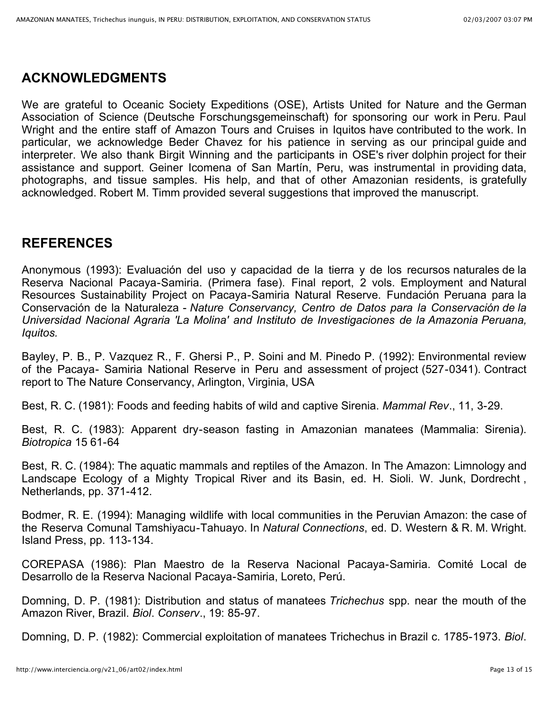## **ACKNOWLEDGMENTS**

We are grateful to Oceanic Society Expeditions (OSE), Artists United for Nature and the German Association of Science (Deutsche Forschungsgemeinschaft) for sponsoring our work in Peru. Paul Wright and the entire staff of Amazon Tours and Cruises in Iquitos have contributed to the work. In particular, we acknowledge Beder Chavez for his patience in serving as our principal guide and interpreter. We also thank Birgit Winning and the participants in OSE's river dolphin project for their assistance and support. Geiner Icomena of San Martín, Peru, was instrumental in providing data, photographs, and tissue samples. His help, and that of other Amazonian residents, is gratefully acknowledged. Robert M. Timm provided several suggestions that improved the manuscript.

# **REFERENCES**

Anonymous (1993): Evaluación del uso y capacidad de la tierra y de los recursos naturales de la Reserva Nacional Pacaya-Samiria. (Primera fase). Final report, 2 vols. Employment and Natural Resources Sustainability Project on Pacaya-Samiria Natural Reserve. Fundación Peruana para la Conservación de la Naturaleza - *Nature Conservancy, Centro de Datos para la Conservación de la Universidad Nacional Agraria 'La Molina' and Instituto de Investigaciones de la Amazonia Peruana, Iquitos.*

Bayley, P. B., P. Vazquez R., F. Ghersi P., P. Soini and M. Pinedo P. (1992): Environmental review of the Pacaya- Samiria National Reserve in Peru and assessment of project (527-0341). Contract report to The Nature Conservancy, Arlington, Virginia, USA

Best, R. C. (1981): Foods and feeding habits of wild and captive Sirenia. *Mammal Rev*., 11, 3-29.

Best, R. C. (1983): Apparent dry-season fasting in Amazonian manatees (Mammalia: Sirenia). *Biotropica* 15 61-64

Best, R. C. (1984): The aquatic mammals and reptiles of the Amazon. In The Amazon: Limnology and Landscape Ecology of a Mighty Tropical River and its Basin, ed. H. Sioli. W. Junk, Dordrecht , Netherlands, pp. 371-412.

Bodmer, R. E. (1994): Managing wildlife with local communities in the Peruvian Amazon: the case of the Reserva Comunal Tamshiyacu-Tahuayo. In *Natural Connections*, ed. D. Western & R. M. Wright. Island Press, pp. 113-134.

COREPASA (1986): Plan Maestro de la Reserva Nacional Pacaya-Samiria. Comité Local de Desarrollo de la Reserva Nacional Pacaya-Samiria, Loreto, Perú.

Domning, D. P. (1981): Distribution and status of manatees *Trichechus* spp. near the mouth of the Amazon River, Brazil. *Biol*. *Conserv*., 19: 85-97.

Domning, D. P. (1982): Commercial exploitation of manatees Trichechus in Brazil c. 1785-1973. *Biol*.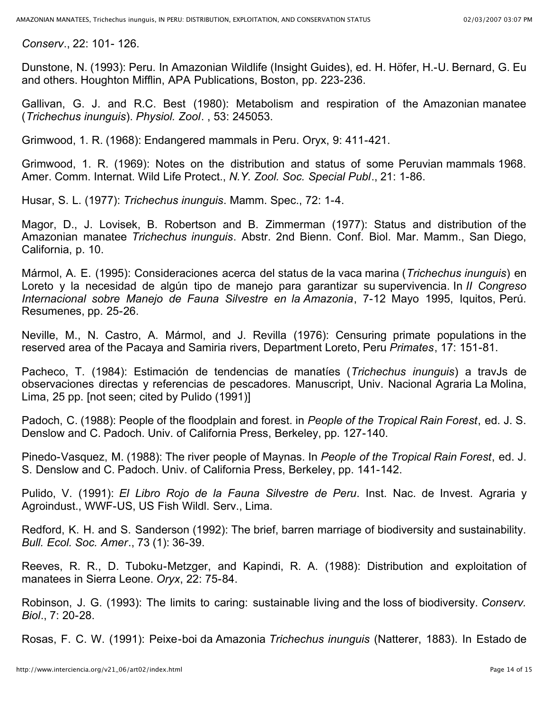*Conserv*., 22: 101- 126.

Dunstone, N. (1993): Peru. In Amazonian Wildlife (Insight Guides), ed. H. Höfer, H.-U. Bernard, G. Eu and others. Houghton Mifflin, APA Publications, Boston, pp. 223-236.

Gallivan, G. J. and R.C. Best (1980): Metabolism and respiration of the Amazonian manatee (*Trichechus inunguis*). *Physiol. Zool*. , 53: 245053.

Grimwood, 1. R. (1968): Endangered mammals in Peru. Oryx, 9: 411-421.

Grimwood, 1. R. (1969): Notes on the distribution and status of some Peruvian mammals 1968. Amer. Comm. Internat. Wild Life Protect., *N.Y. Zool. Soc. Special Publ*., 21: 1-86.

Husar, S. L. (1977): *Trichechus inunguis*. Mamm. Spec., 72: 1-4.

Magor, D., J. Lovisek, B. Robertson and B. Zimmerman (1977): Status and distribution of the Amazonian manatee *Trichechus inunguis*. Abstr. 2nd Bienn. Conf. Biol. Mar. Mamm., San Diego, California, p. 10.

Mármol, A. E. (1995): Consideraciones acerca del status de la vaca marina (*Trichechus inunguis*) en Loreto y la necesidad de algún tipo de manejo para garantizar su supervivencia. In *II Congreso Internacional sobre Manejo de Fauna Silvestre en la Amazonia*, 7-12 Mayo 1995, Iquitos, Perú. Resumenes, pp. 25-26.

Neville, M., N. Castro, A. Mármol, and J. Revilla (1976): Censuring primate populations in the reserved area of the Pacaya and Samiria rivers, Department Loreto, Peru *Primates*, 17: 151-81.

Pacheco, T. (1984): Estimación de tendencias de manatíes (*Trichechus inunguis*) a travJs de observaciones directas y referencias de pescadores. Manuscript, Univ. Nacional Agraria La Molina, Lima, 25 pp. [not seen; cited by Pulido (1991)]

Padoch, C. (1988): People of the floodplain and forest. in *People of the Tropical Rain Forest*, ed. J. S. Denslow and C. Padoch. Univ. of California Press, Berkeley, pp. 127-140.

Pinedo-Vasquez, M. (1988): The river people of Maynas. In *People of the Tropical Rain Forest*, ed. J. S. Denslow and C. Padoch. Univ. of California Press, Berkeley, pp. 141-142.

Pulido, V. (1991): *El Libro Rojo de la Fauna Silvestre de Peru*. Inst. Nac. de Invest. Agraria y Agroindust., WWF-US, US Fish Wildl. Serv., Lima.

Redford, K. H. and S. Sanderson (1992): The brief, barren marriage of biodiversity and sustainability. *Bull. Ecol. Soc. Amer*., 73 (1): 36-39.

Reeves, R. R., D. Tuboku-Metzger, and Kapindi, R. A. (1988): Distribution and exploitation of manatees in Sierra Leone. *Oryx*, 22: 75-84.

Robinson, J. G. (1993): The limits to caring: sustainable living and the loss of biodiversity. *Conserv. Biol*., 7: 20-28.

Rosas, F. C. W. (1991): Peixe-boi da Amazonia *Trichechus inunguis* (Natterer, 1883). In Estado de